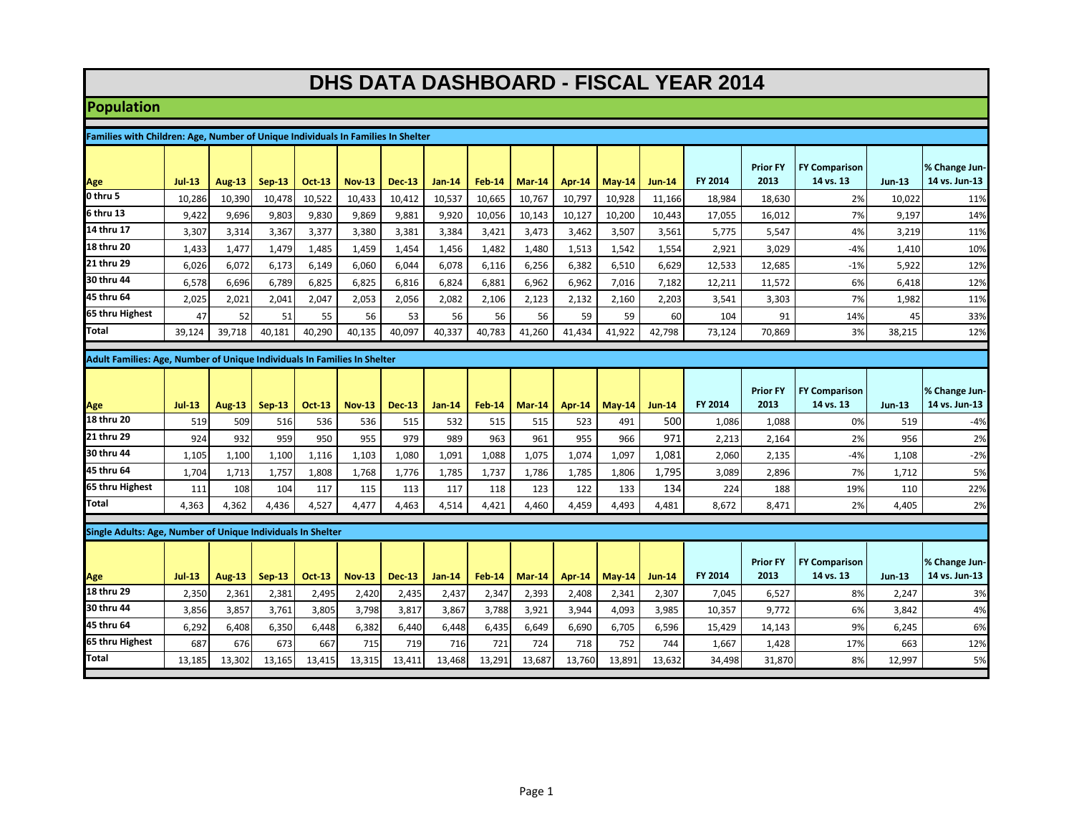## **DHS DATA DASHBOARD - FISCAL YEAR 2014**

## **Population**

| Families with Children: Age, Number of Unique Individuals In Families In Shelter |                                                             |               |               |               |               |               |               |               |               |               |          |               |                |                         |                                   |               |                                |
|----------------------------------------------------------------------------------|-------------------------------------------------------------|---------------|---------------|---------------|---------------|---------------|---------------|---------------|---------------|---------------|----------|---------------|----------------|-------------------------|-----------------------------------|---------------|--------------------------------|
| Age                                                                              | $ u $ -13                                                   | <b>Aug-13</b> | <b>Sep-13</b> | <b>Oct-13</b> | <b>Nov-13</b> | <b>Dec-13</b> | <b>Jan-14</b> | <b>Feb-14</b> | <b>Mar-14</b> | <b>Apr-14</b> | $May-14$ | <b>Jun-14</b> | <b>FY 2014</b> | <b>Prior FY</b><br>2013 | <b>FY Comparison</b><br>14 vs. 13 | <b>Jun-13</b> | % Change Jun-<br>14 vs. Jun-13 |
| 0 thru 5                                                                         | 10,286                                                      | 10,390        | 10,478        | 10,522        | 10,433        | 10,412        | 10,537        | 10,665        | 10,767        | 10,797        | 10,928   | 11,166        | 18,984         | 18,630                  | 2%                                | 10,022        | 11%                            |
| 6 thru 13                                                                        | 9,422                                                       | 9,696         | 9,803         | 9,830         | 9,869         | 9.881         | 9,920         | 10,056        | 10,143        | 10,127        | 10.200   | 10,443        | 17,055         | 16,012                  | 7%                                | 9.197         | 14%                            |
| 14 thru 17                                                                       | 3,307                                                       | 3,314         | 3,367         | 3,377         | 3,380         | 3,381         | 3,384         | 3,421         | 3,473         | 3,462         | 3,507    | 3,561         | 5,775          | 5,547                   | 4%                                | 3,219         | 11%                            |
| 18 thru 20                                                                       | 1,433                                                       | 1,477         | 1,479         | 1,485         | 1,459         | 1,454         | 1,456         | 1,482         | 1,480         | 1,513         | 1,542    | 1,554         | 2,921          | 3,029                   | $-4%$                             | 1,410         | 10%                            |
| 21 thru 29                                                                       | 6,026                                                       | 6,072         | 6,173         | 6,149         | 6,060         | 6,044         | 6,078         | 6,116         | 6,256         | 6,382         | 6,510    | 6,629         | 12,533         | 12,685                  | $-1%$                             | 5,922         | 12%                            |
| 30 thru 44                                                                       | 6,578                                                       | 6.696         | 6.789         | 6.825         | 6.825         | 6.816         | 6.824         | 6.881         | 6,962         | 6,962         | 7.016    | 7,182         | 12,211         | 11,572                  | 6%                                | 6.418         | 12%                            |
| 45 thru 64                                                                       | 2,025                                                       | 2,021         | 2,041         | 2,047         | 2,053         | 2,056         | 2,082         | 2,106         | 2,123         | 2,132         | 2,160    | 2,203         | 3,541          | 3,303                   | 7%                                | 1,982         | 11%                            |
| 65 thru Highest                                                                  | 47                                                          | 52            | 51            | 55            | 56            | 53            | 56            | 56            | 56            | 59            | 59       | 60            | 104            | 91                      | 14%                               | 45            | 33%                            |
| Total                                                                            | 39.124                                                      | 39,718        | 40,181        | 40,290        | 40.135        | 40.097        | 40,337        | 40,783        | 41,260        | 41.434        | 41,922   | 42,798        | 73,124         | 70,869                  | 3%                                | 38,215        | 12%                            |
|                                                                                  |                                                             |               |               |               |               |               |               |               |               |               |          |               |                |                         |                                   |               |                                |
| Adult Families: Age, Number of Unique Individuals In Families In Shelter         |                                                             |               |               |               |               |               |               |               |               |               |          |               |                |                         |                                   |               |                                |
|                                                                                  |                                                             |               |               |               |               |               |               |               |               |               |          |               |                | <b>Prior FY</b>         | <b>FY Comparison</b>              |               | % Change Jun-                  |
| Age                                                                              | $Jul-13$                                                    | <b>Aug-13</b> | <b>Sep-13</b> | <b>Oct 13</b> | <b>Nov-13</b> | <b>Dec-13</b> | <b>Jan-14</b> | <b>Feb-14</b> | $Mar-14$      | Apr-14        | $May-14$ | <b>Jun-14</b> | FY 2014        | 2013                    | 14 vs. 13                         | <b>Jun-13</b> | 14 vs. Jun-13                  |
| 18 thru 20                                                                       | 519                                                         | 509           | 516           | 536           | 536           | 515           | 532           | 515           | 515           | 523           | 491      | 500           | 1,086          | 1,088                   | 0%                                | 519           | $-4%$                          |
| 21 thru 29                                                                       | 924                                                         | 932           | 959           | 950           | 955           | 979           | 989           | 963           | 961           | 955           | 966      | 971           | 2,213          | 2,164                   | 2%                                | 956           | 2%                             |
| 30 thru 44                                                                       | 1,105                                                       | 1,100         | 1,100         | 1,116         | 1,103         | 1,080         | 1.091         | 1.088         | 1.075         | 1,074         | 1,097    | 1,081         | 2,060          | 2,135                   | $-4%$                             | 1,108         | $-2%$                          |
| 45 thru 64                                                                       | 1,704                                                       | 1,713         | 1,757         | 1,808         | 1.768         | 1,776         | 1,785         | 1,737         | 1,786         | 1,785         | 1,806    | 1,795         | 3,089          | 2,896                   | 7%                                | 1,712         | 5%                             |
| 65 thru Highest                                                                  | 111                                                         | 108           | 104           | 117           | 115           | 113           | 117           | 118           | 123           | 122           | 133      | 134           | 224            | 188                     | 19%                               | 110           | 22%                            |
| Total                                                                            | 4,363                                                       | 4,362         | 4,436         | 4,527         | 4,477         | 4,463         | 4,514         | 4.421         | 4,460         | 4,459         | 4,493    | 4,481         | 8,672          | 8,471                   | 2%                                | 4,405         | 2%                             |
|                                                                                  | Single Adults: Age, Number of Unique Individuals In Shelter |               |               |               |               |               |               |               |               |               |          |               |                |                         |                                   |               |                                |
|                                                                                  |                                                             |               |               |               |               |               |               |               |               |               |          |               |                |                         |                                   |               |                                |
| Age                                                                              | $ u $ -13                                                   | <b>Aug-13</b> | $Sep-13$      | <b>Oct-13</b> | <b>Nov-13</b> | <b>Dec-13</b> | $Jan-14$      | <b>Feb-14</b> | $Mar-14$      | <b>Apr-14</b> | $May-14$ | <b>Jun-14</b> | <b>FY 2014</b> | <b>Prior FY</b><br>2013 | <b>FY Comparison</b><br>14 vs. 13 | <b>Jun-13</b> | % Change Jun-<br>14 vs. Jun-13 |
| 18 thru 29                                                                       | 2,350                                                       | 2,361         | 2,381         | 2,495         | 2,420         | 2,435         | 2,437         | 2,347         | 2,393         | 2,408         | 2,341    | 2,307         | 7,045          | 6,527                   | 8%                                | 2,247         | 3%                             |
| 30 thru 44                                                                       | 3,856                                                       | 3,857         | 3,761         | 3,805         | 3,798         | 3,817         | 3,867         | 3,788         | 3,921         | 3,944         | 4,093    | 3,985         | 10,357         | 9,772                   | 6%                                | 3,842         | 4%                             |
|                                                                                  |                                                             |               |               |               |               |               |               |               |               |               |          |               |                |                         | 9%                                |               | 6%                             |
| 45 thru 64                                                                       | 6,292                                                       | 6,408         | 6,350         | 6,448         | 6,382         | 6,440         | 6,448         | 6,435         | 6,649         | 6,690         | 6,705    | 6,596         | 15,429         | 14,143                  |                                   | 6,245         |                                |
| 65 thru Highest                                                                  | 687                                                         | 676           | 673           | 667           | 715           | 719           | 716           | 721           | 724           | 718           | 752      | 744           | 1,667          | 1,428                   | 17%                               | 663           | 12%                            |